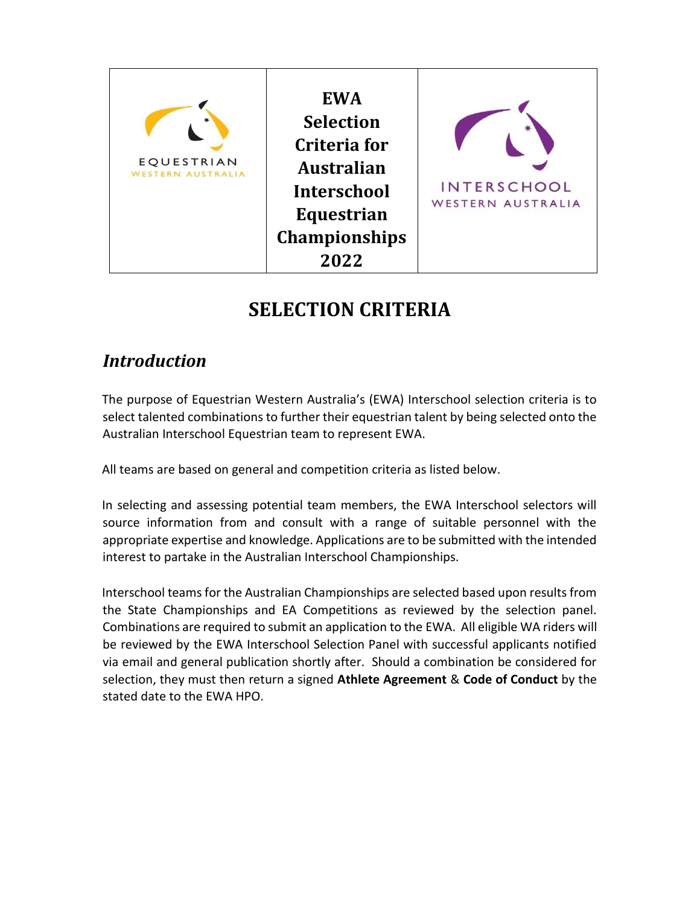# **SELECTION CRITERIA**

### *Introduction*

The purpose of Equestrian Western Australia's (EWA) Interschool selection criteria is to select talented combinations to further their equestrian talent by being selected onto the Australian Interschool Equestrian team to represent EWA.

All teams are based on general and competition criteria as listed below.

In selecting and assessing potential team members, the EWA Interschool selectors will source information from and consult with a range of suitable personnel with the appropriate expertise and knowledge. Applications are to be submitted with the intended interest to partake in the Australian Interschool Championships.

Interschool teams for the Australian Championships are selected based upon results from the State Championships and EA Competitions as reviewed by the selection panel. Combinations are required to submit an application to the EWA. All eligible WA riders will be reviewed by the EWA Interschool Selection Panel with successful applicants notified via email and general publication shortly after. Should a combination be considered for selection, they must then return a signed **Athlete Agreement** & **Code of Conduct** by the stated date to the EWA HPO.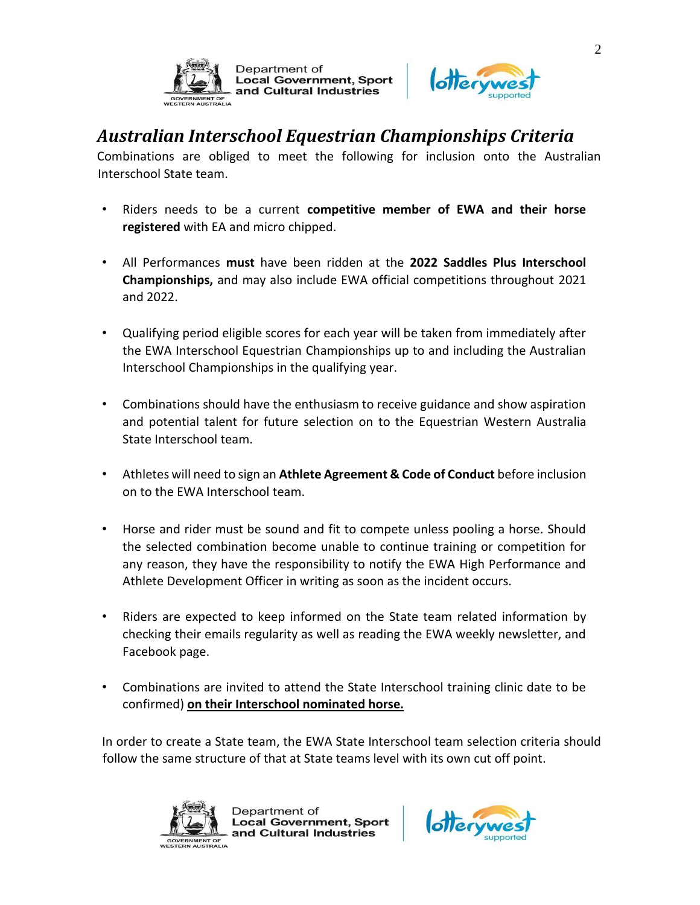



#### *Australian Interschool Equestrian Championships Criteria*

**Local Government, Sport** 

and Cultural Industries

Department of

Combinations are obliged to meet the following for inclusion onto the Australian Interschool State team.

- Riders needs to be a current **competitive member of EWA and their horse registered** with EA and micro chipped.
- All Performances **must** have been ridden at the **2022 Saddles Plus Interschool Championships,** and may also include EWA official competitions throughout 2021 and 2022.
- Qualifying period eligible scores for each year will be taken from immediately after the EWA Interschool Equestrian Championships up to and including the Australian Interschool Championships in the qualifying year.
- Combinations should have the enthusiasm to receive guidance and show aspiration and potential talent for future selection on to the Equestrian Western Australia State Interschool team.
- Athletes will need to sign an **Athlete Agreement & Code of Conduct** before inclusion on to the EWA Interschool team.
- Horse and rider must be sound and fit to compete unless pooling a horse. Should the selected combination become unable to continue training or competition for any reason, they have the responsibility to notify the EWA High Performance and Athlete Development Officer in writing as soon as the incident occurs.
- Riders are expected to keep informed on the State team related information by checking their emails regularity as well as reading the EWA weekly newsletter, and Facebook page.
- Combinations are invited to attend the State Interschool training clinic date to be confirmed) **on their Interschool nominated horse.**

In order to create a State team, the EWA State Interschool team selection criteria should follow the same structure of that at State teams level with its own cut off point.



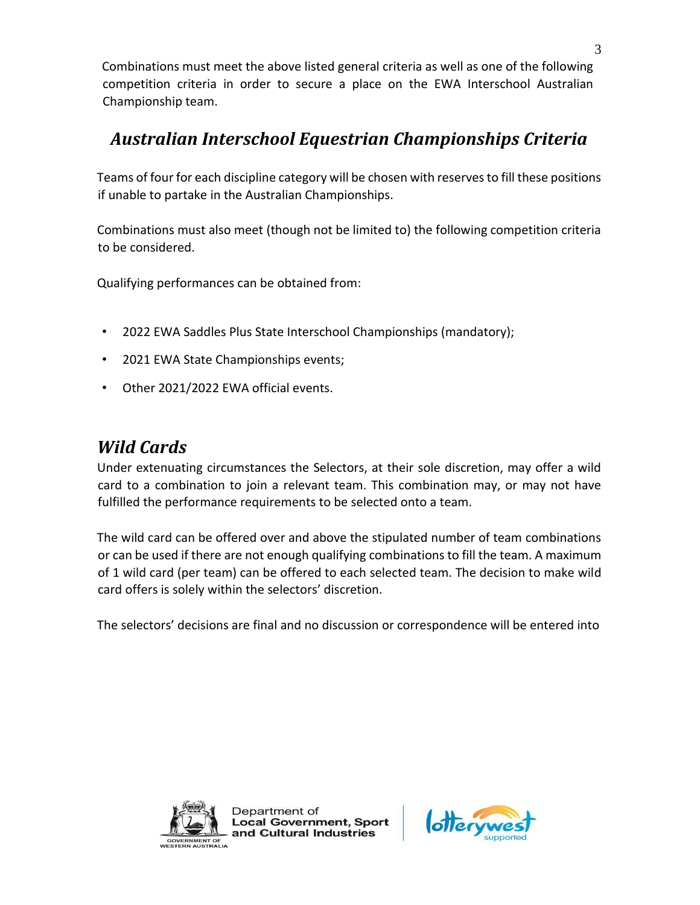Combinations must meet the above listed general criteria as well as one of the following competition criteria in order to secure a place on the EWA Interschool Australian Championship team.

## *Australian Interschool Equestrian Championships Criteria*

Teams of four for each discipline category will be chosen with reserves to fill these positions if unable to partake in the Australian Championships.

Combinations must also meet (though not be limited to) the following competition criteria to be considered.

Qualifying performances can be obtained from:

- 2022 EWA Saddles Plus State Interschool Championships (mandatory);
- 2021 EWA State Championships events;
- Other 2021/2022 EWA official events.

#### *Wild Cards*

Under extenuating circumstances the Selectors, at their sole discretion, may offer a wild card to a combination to join a relevant team. This combination may, or may not have fulfilled the performance requirements to be selected onto a team.

The wild card can be offered over and above the stipulated number of team combinations or can be used if there are not enough qualifying combinations to fill the team. A maximum of 1 wild card (per team) can be offered to each selected team. The decision to make wild card offers is solely within the selectors' discretion.

The selectors' decisions are final and no discussion or correspondence will be entered into



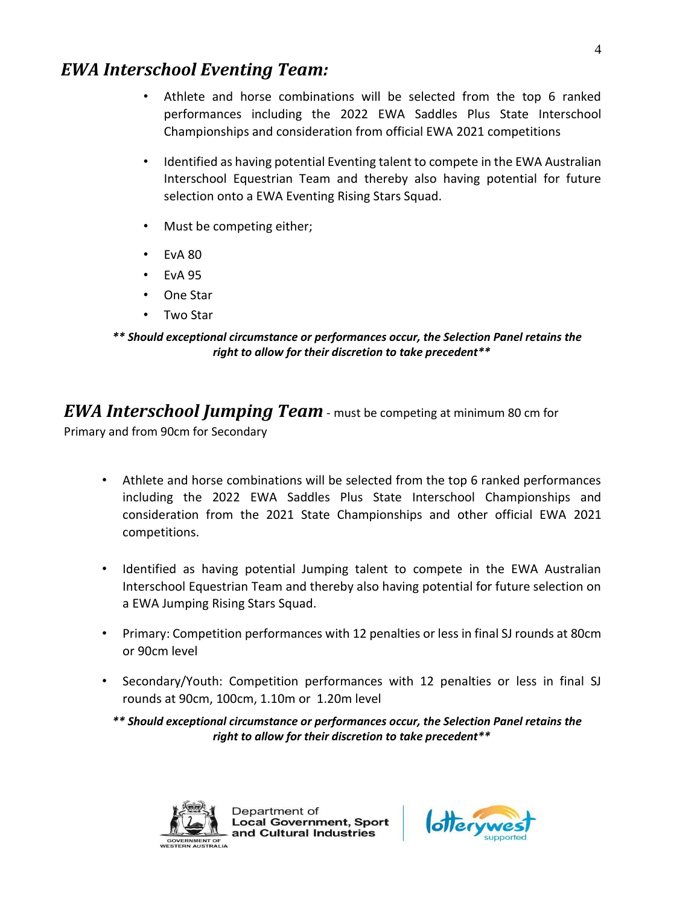#### *EWA Interschool Eventing Team:*

- Athlete and horse combinations will be selected from the top 6 ranked performances including the 2022 EWA Saddles Plus State Interschool Championships and consideration from official EWA 2021 competitions
- Identified as having potential Eventing talent to compete in the EWA Australian Interschool Equestrian Team and thereby also having potential for future selection onto a EWA Eventing Rising Stars Squad.
- Must be competing either;
- $\cdot$  FyA 80
- EvA 95
- One Star
- Two Star

#### *\*\* Should exceptional circumstance or performances occur, the Selection Panel retains the right to allow for their discretion to take precedent\*\**

*EWA Interschool Jumping Team* - must be competing at minimum 80 cm for Primary and from 90cm for Secondary

- Athlete and horse combinations will be selected from the top 6 ranked performances including the 2022 EWA Saddles Plus State Interschool Championships and consideration from the 2021 State Championships and other official EWA 2021 competitions.
- Identified as having potential Jumping talent to compete in the EWA Australian Interschool Equestrian Team and thereby also having potential for future selection on a EWA Jumping Rising Stars Squad.
- Primary: Competition performances with 12 penalties or less in final SJ rounds at 80cm or 90cm level
- Secondary/Youth: Competition performances with 12 penalties or less in final SJ rounds at 90cm, 100cm, 1.10m or 1.20m level

*\*\* Should exceptional circumstance or performances occur, the Selection Panel retains the right to allow for their discretion to take precedent\*\**



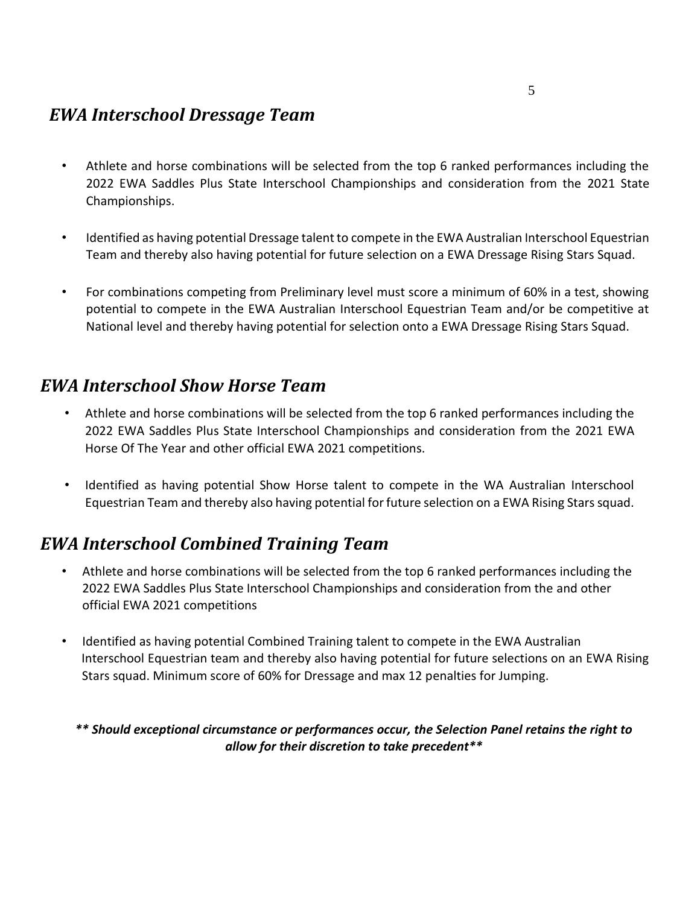#### *EWA Interschool Dressage Team*

- Athlete and horse combinations will be selected from the top 6 ranked performances including the 2022 EWA Saddles Plus State Interschool Championships and consideration from the 2021 State Championships.
- Identified as having potential Dressage talent to compete in the EWA Australian Interschool Equestrian Team and thereby also having potential for future selection on a EWA Dressage Rising Stars Squad.
- For combinations competing from Preliminary level must score a minimum of 60% in a test, showing potential to compete in the EWA Australian Interschool Equestrian Team and/or be competitive at National level and thereby having potential for selection onto a EWA Dressage Rising Stars Squad.

#### *EWA Interschool Show Horse Team*

- Athlete and horse combinations will be selected from the top 6 ranked performances including the 2022 EWA Saddles Plus State Interschool Championships and consideration from the 2021 EWA Horse Of The Year and other official EWA 2021 competitions.
- Identified as having potential Show Horse talent to compete in the WA Australian Interschool Equestrian Team and thereby also having potential for future selection on a EWA Rising Stars squad.

### *EWA Interschool Combined Training Team*

- Athlete and horse combinations will be selected from the top 6 ranked performances including the 2022 EWA Saddles Plus State Interschool Championships and consideration from the and other official EWA 2021 competitions
- Identified as having potential Combined Training talent to compete in the EWA Australian Interschool Equestrian team and thereby also having potential for future selections on an EWA Rising Stars squad. Minimum score of 60% for Dressage and max 12 penalties for Jumping.

*\*\* Should exceptional circumstance or performances occur, the Selection Panel retains the right to allow for their discretion to take precedent\*\**